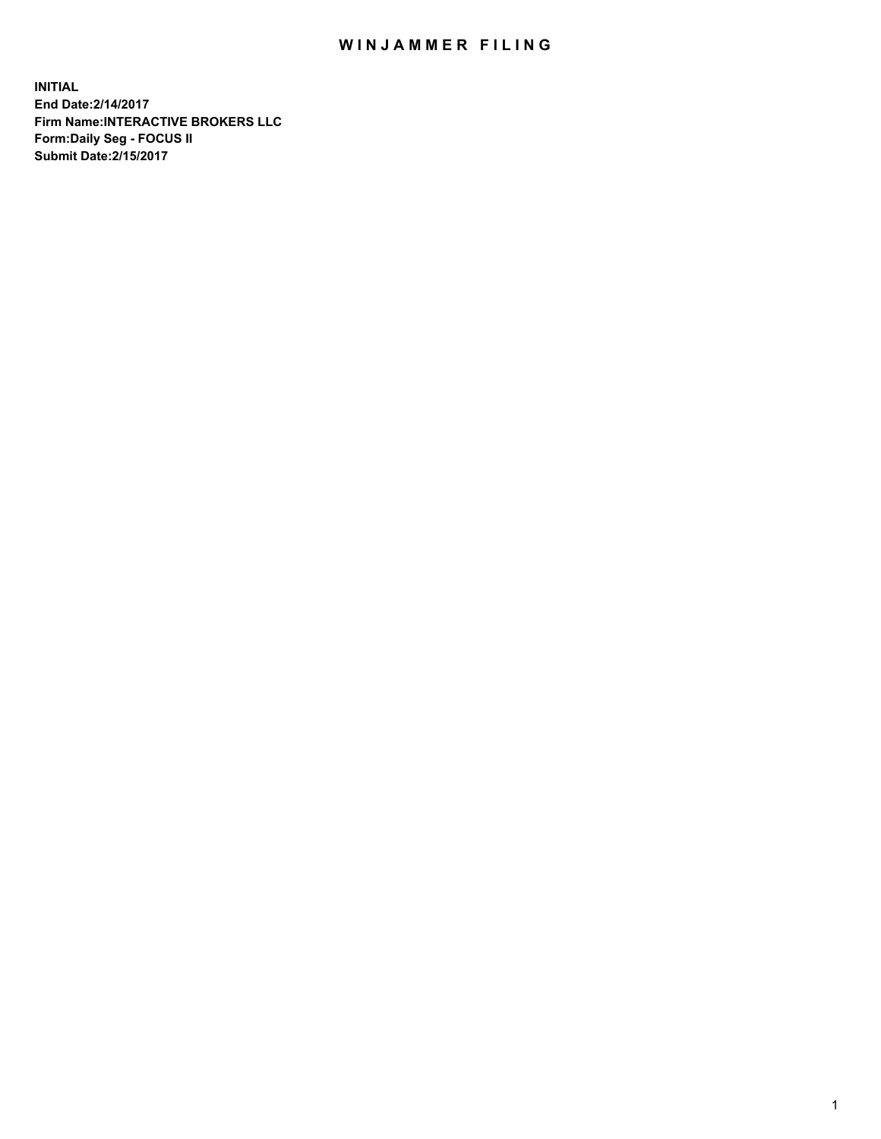## WIN JAMMER FILING

**INITIAL End Date:2/14/2017 Firm Name:INTERACTIVE BROKERS LLC Form:Daily Seg - FOCUS II Submit Date:2/15/2017**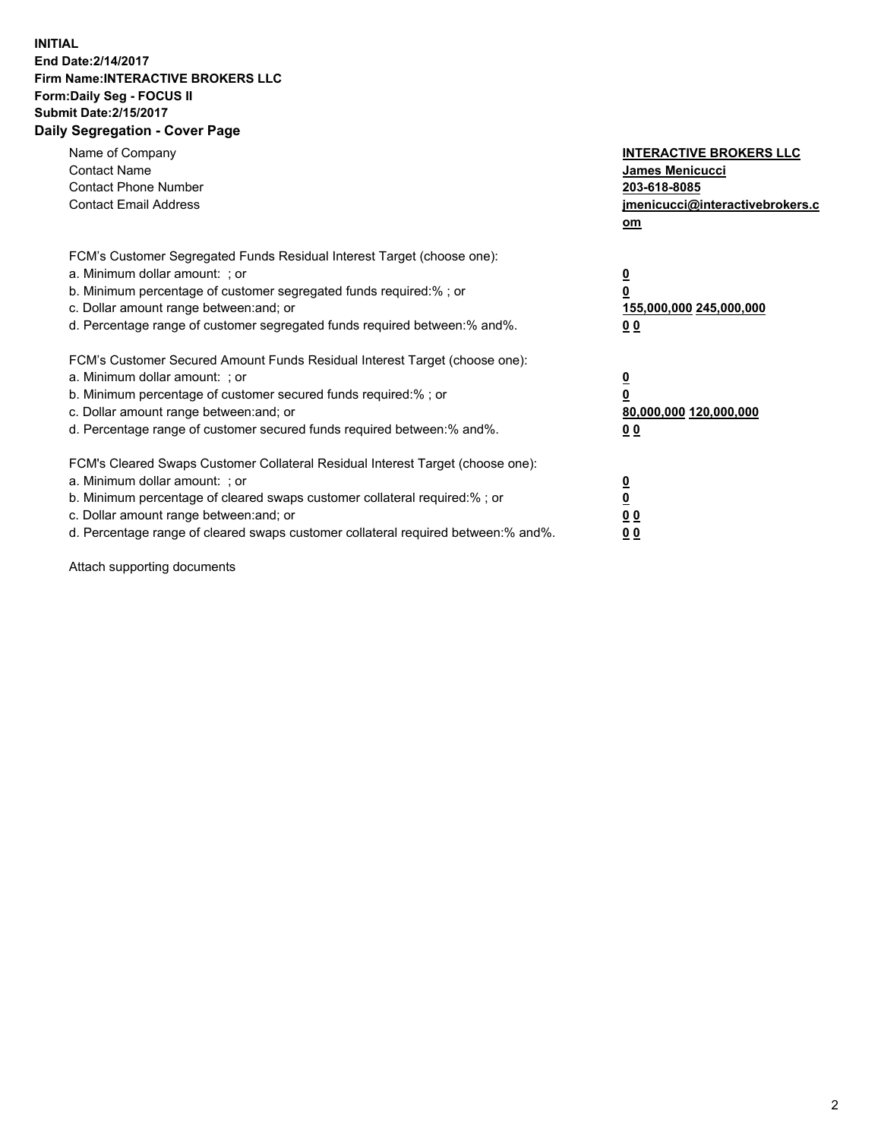## **INITIAL End Date:2/14/2017 Firm Name:INTERACTIVE BROKERS LLC Form:Daily Seg - FOCUS II Submit Date:2/15/2017 Daily Segregation - Cover Page**

| Name of Company<br><b>Contact Name</b><br><b>Contact Phone Number</b><br><b>Contact Email Address</b>                                                                                                                                                                                                                          | <b>INTERACTIVE BROKERS LLC</b><br><b>James Menicucci</b><br>203-618-8085<br>jmenicucci@interactivebrokers.c<br>om |
|--------------------------------------------------------------------------------------------------------------------------------------------------------------------------------------------------------------------------------------------------------------------------------------------------------------------------------|-------------------------------------------------------------------------------------------------------------------|
| FCM's Customer Segregated Funds Residual Interest Target (choose one):<br>a. Minimum dollar amount: ; or<br>b. Minimum percentage of customer segregated funds required:%; or<br>c. Dollar amount range between: and; or<br>d. Percentage range of customer segregated funds required between:% and%.                          | $\overline{\mathbf{0}}$<br>0<br>155,000,000 245,000,000<br>0 <sub>0</sub>                                         |
| FCM's Customer Secured Amount Funds Residual Interest Target (choose one):<br>a. Minimum dollar amount: ; or<br>b. Minimum percentage of customer secured funds required:%; or<br>c. Dollar amount range between: and; or<br>d. Percentage range of customer secured funds required between: % and %.                          | $\overline{\mathbf{0}}$<br>0<br>80,000,000 120,000,000<br>0 <sub>0</sub>                                          |
| FCM's Cleared Swaps Customer Collateral Residual Interest Target (choose one):<br>a. Minimum dollar amount: ; or<br>b. Minimum percentage of cleared swaps customer collateral required:% ; or<br>c. Dollar amount range between: and; or<br>d. Percentage range of cleared swaps customer collateral required between:% and%. | $\overline{\mathbf{0}}$<br>$\overline{\mathbf{0}}$<br>0 <sub>0</sub><br><u>00</u>                                 |

Attach supporting documents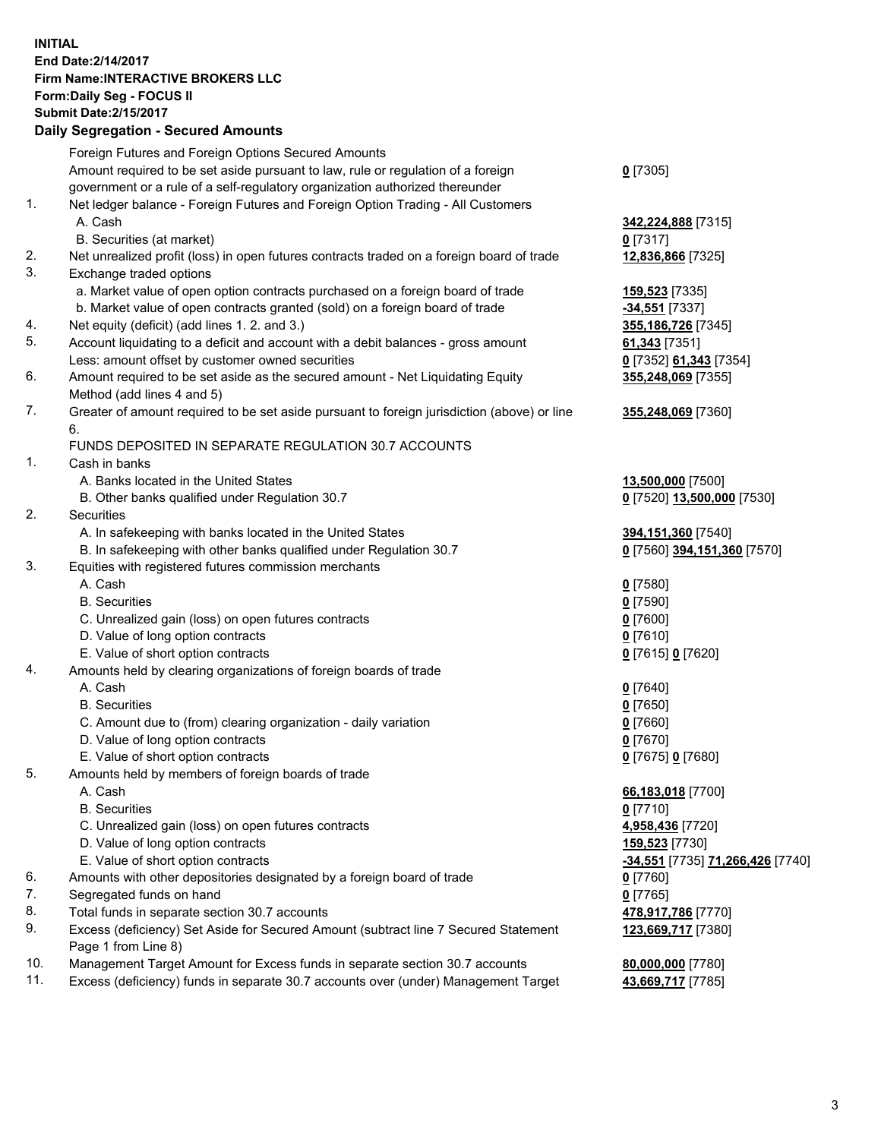## **INITIAL End Date:2/14/2017 Firm Name:INTERACTIVE BROKERS LLC Form:Daily Seg - FOCUS II Submit Date:2/15/2017**

|     | Supmit Date:2/15/2017<br><b>Daily Segregation - Secured Amounts</b>                                          |                                         |
|-----|--------------------------------------------------------------------------------------------------------------|-----------------------------------------|
|     |                                                                                                              |                                         |
|     | Foreign Futures and Foreign Options Secured Amounts                                                          |                                         |
|     | Amount required to be set aside pursuant to law, rule or regulation of a foreign                             | $0$ [7305]                              |
|     | government or a rule of a self-regulatory organization authorized thereunder                                 |                                         |
| 1.  | Net ledger balance - Foreign Futures and Foreign Option Trading - All Customers<br>A. Cash                   | 342,224,888 [7315]                      |
|     | B. Securities (at market)                                                                                    | $0$ [7317]                              |
| 2.  | Net unrealized profit (loss) in open futures contracts traded on a foreign board of trade                    | 12,836,866 [7325]                       |
| 3.  | Exchange traded options<br>a. Market value of open option contracts purchased on a foreign board of trade    | 159,523 [7335]                          |
|     | b. Market value of open contracts granted (sold) on a foreign board of trade                                 | -34,551 [7337]                          |
| 4.  | Net equity (deficit) (add lines 1.2. and 3.)                                                                 | 355,186,726 [7345]                      |
| 5.  | Account liquidating to a deficit and account with a debit balances - gross amount                            | 61,343 [7351]                           |
|     | Less: amount offset by customer owned securities                                                             | 0 [7352] 61,343 [7354]                  |
| 6.  | Amount required to be set aside as the secured amount - Net Liquidating Equity<br>Method (add lines 4 and 5) | 355,248,069 [7355]                      |
| 7.  | Greater of amount required to be set aside pursuant to foreign jurisdiction (above) or line                  | 355,248,069 [7360]                      |
|     | 6.                                                                                                           |                                         |
|     | FUNDS DEPOSITED IN SEPARATE REGULATION 30.7 ACCOUNTS                                                         |                                         |
| 1.  | Cash in banks                                                                                                |                                         |
|     | A. Banks located in the United States                                                                        | 13,500,000 [7500]                       |
|     | B. Other banks qualified under Regulation 30.7                                                               | 0 [7520] 13,500,000 [7530]              |
| 2.  | Securities                                                                                                   |                                         |
|     | A. In safekeeping with banks located in the United States                                                    | 394, 151, 360 [7540]                    |
|     | B. In safekeeping with other banks qualified under Regulation 30.7                                           | 0 [7560] 394,151,360 [7570]             |
| 3.  | Equities with registered futures commission merchants                                                        |                                         |
|     | A. Cash                                                                                                      | $0$ [7580]                              |
|     | <b>B.</b> Securities                                                                                         | $0$ [7590]                              |
|     | C. Unrealized gain (loss) on open futures contracts                                                          | $0$ [7600]                              |
|     | D. Value of long option contracts                                                                            | $0$ [7610]                              |
|     | E. Value of short option contracts                                                                           | 0 [7615] 0 [7620]                       |
| 4.  | Amounts held by clearing organizations of foreign boards of trade                                            |                                         |
|     | A. Cash                                                                                                      | $0$ [7640]                              |
|     | <b>B.</b> Securities                                                                                         | $0$ [7650]                              |
|     | C. Amount due to (from) clearing organization - daily variation                                              | $0$ [7660]                              |
|     | D. Value of long option contracts                                                                            | $0$ [7670]                              |
|     | E. Value of short option contracts                                                                           | 0 [7675] 0 [7680]                       |
| 5.  | Amounts held by members of foreign boards of trade                                                           |                                         |
|     | A. Cash                                                                                                      | 66,183,018 [7700]                       |
|     | <b>B.</b> Securities                                                                                         | $0$ [7710]                              |
|     | C. Unrealized gain (loss) on open futures contracts                                                          | 4,958,436 [7720]                        |
|     | D. Value of long option contracts                                                                            | 159,523 [7730]                          |
|     | E. Value of short option contracts                                                                           | <u>-34,551</u> [7735] 71,266,426 [7740] |
| 6.  | Amounts with other depositories designated by a foreign board of trade                                       | $0$ [7760]                              |
| 7.  | Segregated funds on hand                                                                                     | $0$ [7765]                              |
| 8.  | Total funds in separate section 30.7 accounts                                                                | 478,917,786 [7770]                      |
| 9.  | Excess (deficiency) Set Aside for Secured Amount (subtract line 7 Secured Statement<br>Page 1 from Line 8)   | 123,669,717 [7380]                      |
| 10. | Management Target Amount for Excess funds in separate section 30.7 accounts                                  | 80,000,000 [7780]                       |
| 11. | Excess (deficiency) funds in separate 30.7 accounts over (under) Management Target                           | 43,669,717 [7785]                       |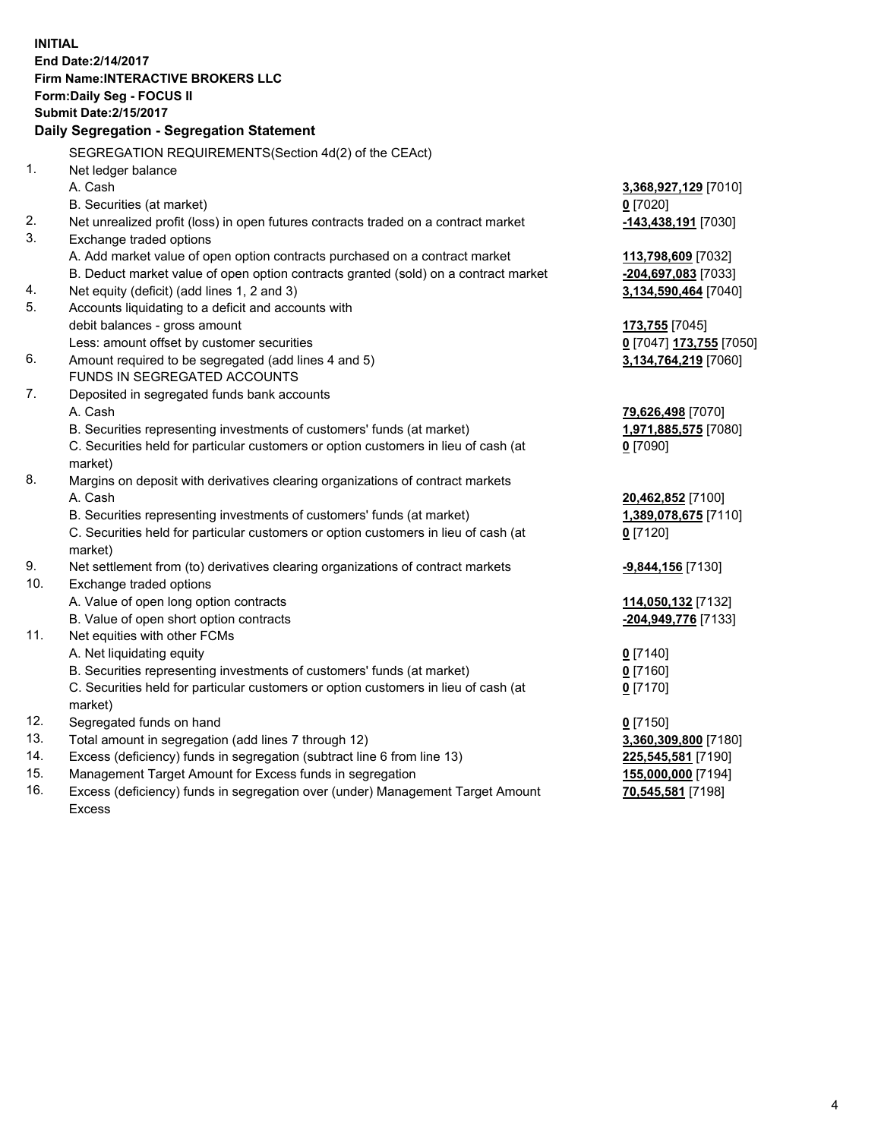**INITIAL End Date:2/14/2017 Firm Name:INTERACTIVE BROKERS LLC Form:Daily Seg - FOCUS II Submit Date:2/15/2017 Daily Segregation - Segregation Statement** SEGREGATION REQUIREMENTS(Section 4d(2) of the CEAct) 1. Net ledger balance A. Cash **3,368,927,129** [7010] B. Securities (at market) **0** [7020] 2. Net unrealized profit (loss) in open futures contracts traded on a contract market **-143,438,191** [7030] 3. Exchange traded options A. Add market value of open option contracts purchased on a contract market **113,798,609** [7032] B. Deduct market value of open option contracts granted (sold) on a contract market **-204,697,083** [7033] 4. Net equity (deficit) (add lines 1, 2 and 3) **3,134,590,464** [7040] 5. Accounts liquidating to a deficit and accounts with debit balances - gross amount **173,755** [7045] Less: amount offset by customer securities **0** [7047] **173,755** [7050] 6. Amount required to be segregated (add lines 4 and 5) **3,134,764,219** [7060] FUNDS IN SEGREGATED ACCOUNTS 7. Deposited in segregated funds bank accounts A. Cash **79,626,498** [7070] B. Securities representing investments of customers' funds (at market) **1,971,885,575** [7080] C. Securities held for particular customers or option customers in lieu of cash (at market) **0** [7090] 8. Margins on deposit with derivatives clearing organizations of contract markets A. Cash **20,462,852** [7100] B. Securities representing investments of customers' funds (at market) **1,389,078,675** [7110] C. Securities held for particular customers or option customers in lieu of cash (at market) **0** [7120] 9. Net settlement from (to) derivatives clearing organizations of contract markets **-9,844,156** [7130] 10. Exchange traded options A. Value of open long option contracts **114,050,132** [7132] B. Value of open short option contracts **-204,949,776** [7133] 11. Net equities with other FCMs A. Net liquidating equity **0** [7140] B. Securities representing investments of customers' funds (at market) **0** [7160] C. Securities held for particular customers or option customers in lieu of cash (at market) **0** [7170] 12. Segregated funds on hand **0** [7150] 13. Total amount in segregation (add lines 7 through 12) **3,360,309,800** [7180] 14. Excess (deficiency) funds in segregation (subtract line 6 from line 13) **225,545,581** [7190] 15. Management Target Amount for Excess funds in segregation **155,000,000** [7194]

16. Excess (deficiency) funds in segregation over (under) Management Target Amount Excess

**70,545,581** [7198]